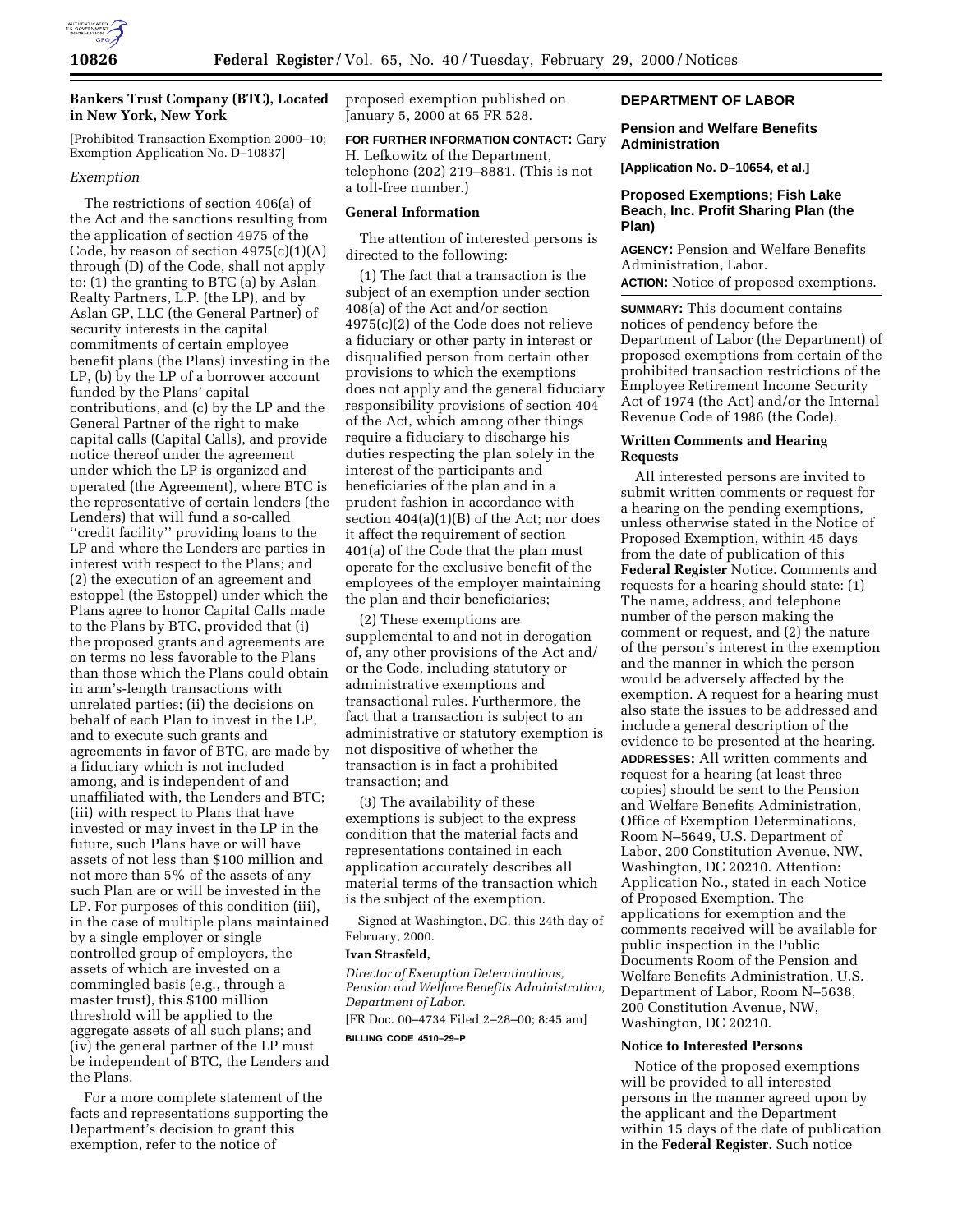

## **Bankers Trust Company (BTC), Located in New York, New York**

[Prohibited Transaction Exemption 2000–10; Exemption Application No. D–10837]

## *Exemption*

The restrictions of section 406(a) of the Act and the sanctions resulting from the application of section 4975 of the Code, by reason of section  $4975(c)(1)(A)$ through (D) of the Code, shall not apply to: (1) the granting to BTC (a) by Aslan Realty Partners, L.P. (the LP), and by Aslan GP, LLC (the General Partner) of security interests in the capital commitments of certain employee benefit plans (the Plans) investing in the LP, (b) by the LP of a borrower account funded by the Plans' capital contributions, and (c) by the LP and the General Partner of the right to make capital calls (Capital Calls), and provide notice thereof under the agreement under which the LP is organized and operated (the Agreement), where BTC is the representative of certain lenders (the Lenders) that will fund a so-called ''credit facility'' providing loans to the LP and where the Lenders are parties in interest with respect to the Plans; and (2) the execution of an agreement and estoppel (the Estoppel) under which the Plans agree to honor Capital Calls made to the Plans by BTC, provided that (i) the proposed grants and agreements are on terms no less favorable to the Plans than those which the Plans could obtain in arm's-length transactions with unrelated parties; (ii) the decisions on behalf of each Plan to invest in the LP, and to execute such grants and agreements in favor of BTC, are made by a fiduciary which is not included among, and is independent of and unaffiliated with, the Lenders and BTC; (iii) with respect to Plans that have invested or may invest in the LP in the future, such Plans have or will have assets of not less than \$100 million and not more than 5% of the assets of any such Plan are or will be invested in the LP. For purposes of this condition (iii), in the case of multiple plans maintained by a single employer or single controlled group of employers, the assets of which are invested on a commingled basis (e.g., through a master trust), this \$100 million threshold will be applied to the aggregate assets of all such plans; and (iv) the general partner of the LP must be independent of BTC, the Lenders and the Plans.

For a more complete statement of the facts and representations supporting the Department's decision to grant this exemption, refer to the notice of

proposed exemption published on January 5, 2000 at 65 FR 528.

**FOR FURTHER INFORMATION CONTACT:** Gary H. Lefkowitz of the Department, telephone (202) 219–8881. (This is not a toll-free number.)

## **General Information**

The attention of interested persons is directed to the following:

(1) The fact that a transaction is the subject of an exemption under section 408(a) of the Act and/or section 4975(c)(2) of the Code does not relieve a fiduciary or other party in interest or disqualified person from certain other provisions to which the exemptions does not apply and the general fiduciary responsibility provisions of section 404 of the Act, which among other things require a fiduciary to discharge his duties respecting the plan solely in the interest of the participants and beneficiaries of the plan and in a prudent fashion in accordance with section 404(a)(1)(B) of the Act; nor does it affect the requirement of section 401(a) of the Code that the plan must operate for the exclusive benefit of the employees of the employer maintaining the plan and their beneficiaries;

(2) These exemptions are supplemental to and not in derogation of, any other provisions of the Act and/ or the Code, including statutory or administrative exemptions and transactional rules. Furthermore, the fact that a transaction is subject to an administrative or statutory exemption is not dispositive of whether the transaction is in fact a prohibited transaction; and

(3) The availability of these exemptions is subject to the express condition that the material facts and representations contained in each application accurately describes all material terms of the transaction which is the subject of the exemption.

Signed at Washington, DC, this 24th day of February, 2000.

#### **Ivan Strasfeld,**

*Director of Exemption Determinations, Pension and Welfare Benefits Administration, Department of Labor.*

[FR Doc. 00–4734 Filed 2–28–00; 8:45 am] **BILLING CODE 4510–29–P**

## **DEPARTMENT OF LABOR**

## **Pension and Welfare Benefits Administration**

**[Application No. D–10654, et al.]**

## **Proposed Exemptions; Fish Lake Beach, Inc. Profit Sharing Plan (the Plan)**

**AGENCY:** Pension and Welfare Benefits Administration, Labor.

**ACTION:** Notice of proposed exemptions.

**SUMMARY:** This document contains notices of pendency before the Department of Labor (the Department) of proposed exemptions from certain of the prohibited transaction restrictions of the Employee Retirement Income Security Act of 1974 (the Act) and/or the Internal Revenue Code of 1986 (the Code).

#### **Written Comments and Hearing Requests**

All interested persons are invited to submit written comments or request for a hearing on the pending exemptions, unless otherwise stated in the Notice of Proposed Exemption, within 45 days from the date of publication of this **Federal Register** Notice. Comments and requests for a hearing should state: (1) The name, address, and telephone number of the person making the comment or request, and (2) the nature of the person's interest in the exemption and the manner in which the person would be adversely affected by the exemption. A request for a hearing must also state the issues to be addressed and include a general description of the evidence to be presented at the hearing. **ADDRESSES:** All written comments and request for a hearing (at least three copies) should be sent to the Pension and Welfare Benefits Administration, Office of Exemption Determinations, Room N–5649, U.S. Department of Labor, 200 Constitution Avenue, NW, Washington, DC 20210. Attention: Application No., stated in each Notice of Proposed Exemption. The applications for exemption and the comments received will be available for public inspection in the Public Documents Room of the Pension and Welfare Benefits Administration, U.S. Department of Labor, Room N–5638, 200 Constitution Avenue, NW, Washington, DC 20210.

## **Notice to Interested Persons**

Notice of the proposed exemptions will be provided to all interested persons in the manner agreed upon by the applicant and the Department within 15 days of the date of publication in the **Federal Register**. Such notice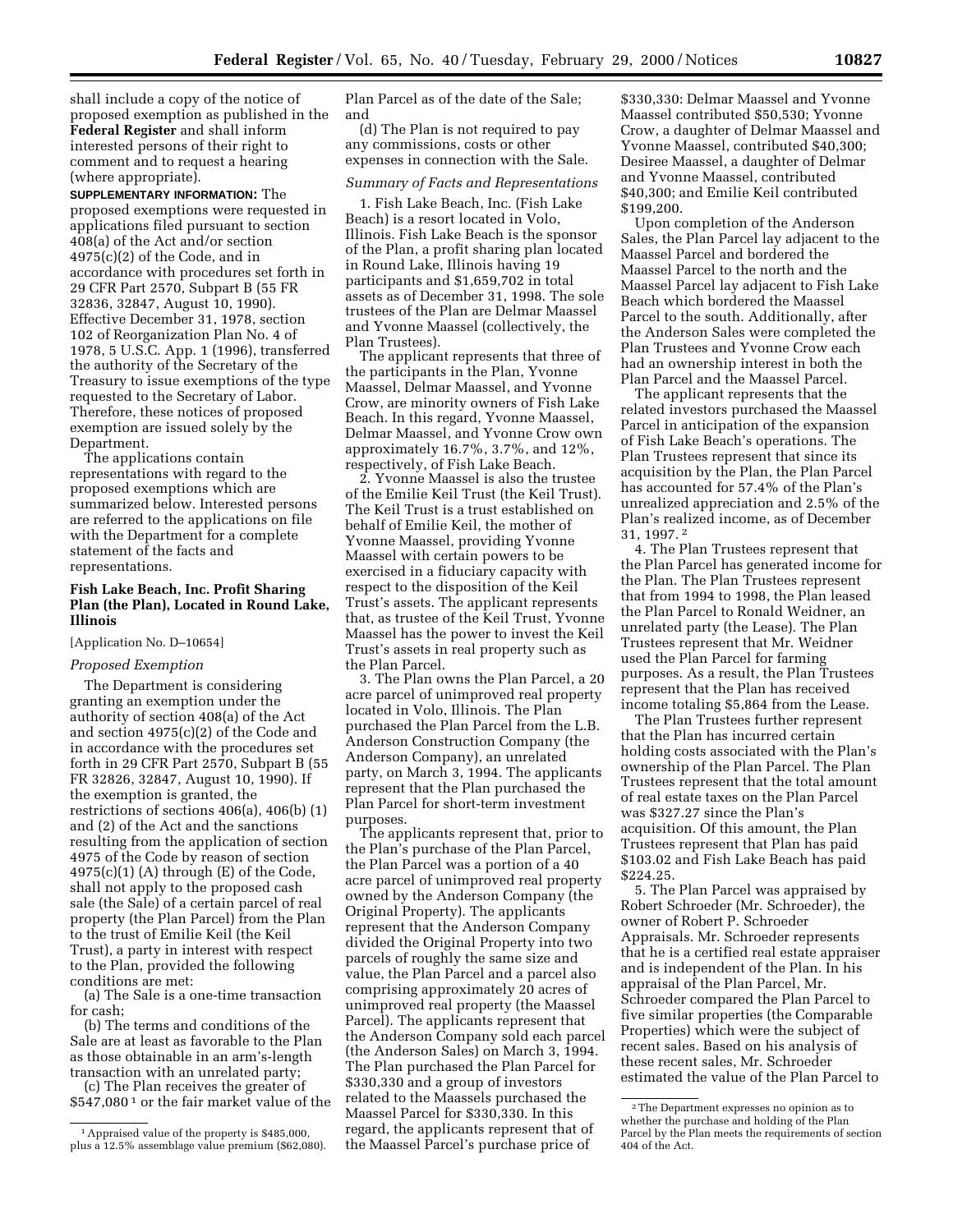shall include a copy of the notice of proposed exemption as published in the **Federal Register** and shall inform interested persons of their right to comment and to request a hearing (where appropriate).

**SUPPLEMENTARY INFORMATION:** The proposed exemptions were requested in applications filed pursuant to section 408(a) of the Act and/or section 4975(c)(2) of the Code, and in accordance with procedures set forth in 29 CFR Part 2570, Subpart B (55 FR 32836, 32847, August 10, 1990). Effective December 31, 1978, section 102 of Reorganization Plan No. 4 of 1978, 5 U.S.C. App. 1 (1996), transferred the authority of the Secretary of the Treasury to issue exemptions of the type requested to the Secretary of Labor. Therefore, these notices of proposed exemption are issued solely by the Department.

The applications contain representations with regard to the proposed exemptions which are summarized below. Interested persons are referred to the applications on file with the Department for a complete statement of the facts and representations.

## **Fish Lake Beach, Inc. Profit Sharing Plan (the Plan), Located in Round Lake, Illinois**

#### [Application No. D–10654]

#### *Proposed Exemption*

The Department is considering granting an exemption under the authority of section 408(a) of the Act and section 4975(c)(2) of the Code and in accordance with the procedures set forth in 29 CFR Part 2570, Subpart B (55 FR 32826, 32847, August 10, 1990). If the exemption is granted, the restrictions of sections 406(a), 406(b) (1) and (2) of the Act and the sanctions resulting from the application of section 4975 of the Code by reason of section  $4975(c)(1)$  (A) through (E) of the Code, shall not apply to the proposed cash sale (the Sale) of a certain parcel of real property (the Plan Parcel) from the Plan to the trust of Emilie Keil (the Keil Trust), a party in interest with respect to the Plan, provided the following conditions are met:

(a) The Sale is a one-time transaction for cash;

(b) The terms and conditions of the Sale are at least as favorable to the Plan as those obtainable in an arm's-length transaction with an unrelated party;

(c) The Plan receives the greater of \$547,080 1 or the fair market value of the

Plan Parcel as of the date of the Sale; and

(d) The Plan is not required to pay any commissions, costs or other expenses in connection with the Sale.

## *Summary of Facts and Representations*

1. Fish Lake Beach, Inc. (Fish Lake Beach) is a resort located in Volo, Illinois. Fish Lake Beach is the sponsor of the Plan, a profit sharing plan located in Round Lake, Illinois having 19 participants and \$1,659,702 in total assets as of December 31, 1998. The sole trustees of the Plan are Delmar Maassel and Yvonne Maassel (collectively, the Plan Trustees).

The applicant represents that three of the participants in the Plan, Yvonne Maassel, Delmar Maassel, and Yvonne Crow, are minority owners of Fish Lake Beach. In this regard, Yvonne Maassel, Delmar Maassel, and Yvonne Crow own approximately 16.7%, 3.7%, and 12%, respectively, of Fish Lake Beach.

2. Yvonne Maassel is also the trustee of the Emilie Keil Trust (the Keil Trust). The Keil Trust is a trust established on behalf of Emilie Keil, the mother of Yvonne Maassel, providing Yvonne Maassel with certain powers to be exercised in a fiduciary capacity with respect to the disposition of the Keil Trust's assets. The applicant represents that, as trustee of the Keil Trust, Yvonne Maassel has the power to invest the Keil Trust's assets in real property such as the Plan Parcel.

3. The Plan owns the Plan Parcel, a 20 acre parcel of unimproved real property located in Volo, Illinois. The Plan purchased the Plan Parcel from the L.B. Anderson Construction Company (the Anderson Company), an unrelated party, on March 3, 1994. The applicants represent that the Plan purchased the Plan Parcel for short-term investment purposes.

The applicants represent that, prior to the Plan's purchase of the Plan Parcel, the Plan Parcel was a portion of a 40 acre parcel of unimproved real property owned by the Anderson Company (the Original Property). The applicants represent that the Anderson Company divided the Original Property into two parcels of roughly the same size and value, the Plan Parcel and a parcel also comprising approximately 20 acres of unimproved real property (the Maassel Parcel). The applicants represent that the Anderson Company sold each parcel (the Anderson Sales) on March 3, 1994. The Plan purchased the Plan Parcel for \$330,330 and a group of investors related to the Maassels purchased the Maassel Parcel for \$330,330. In this regard, the applicants represent that of the Maassel Parcel's purchase price of

\$330,330: Delmar Maassel and Yvonne Maassel contributed \$50,530; Yvonne Crow, a daughter of Delmar Maassel and Yvonne Maassel, contributed \$40,300; Desiree Maassel, a daughter of Delmar and Yvonne Maassel, contributed \$40,300; and Emilie Keil contributed \$199,200.

Upon completion of the Anderson Sales, the Plan Parcel lay adjacent to the Maassel Parcel and bordered the Maassel Parcel to the north and the Maassel Parcel lay adjacent to Fish Lake Beach which bordered the Maassel Parcel to the south. Additionally, after the Anderson Sales were completed the Plan Trustees and Yvonne Crow each had an ownership interest in both the Plan Parcel and the Maassel Parcel.

The applicant represents that the related investors purchased the Maassel Parcel in anticipation of the expansion of Fish Lake Beach's operations. The Plan Trustees represent that since its acquisition by the Plan, the Plan Parcel has accounted for 57.4% of the Plan's unrealized appreciation and 2.5% of the Plan's realized income, as of December 31, 1997. 2

4. The Plan Trustees represent that the Plan Parcel has generated income for the Plan. The Plan Trustees represent that from 1994 to 1998, the Plan leased the Plan Parcel to Ronald Weidner, an unrelated party (the Lease). The Plan Trustees represent that Mr. Weidner used the Plan Parcel for farming purposes. As a result, the Plan Trustees represent that the Plan has received income totaling \$5,864 from the Lease.

The Plan Trustees further represent that the Plan has incurred certain holding costs associated with the Plan's ownership of the Plan Parcel. The Plan Trustees represent that the total amount of real estate taxes on the Plan Parcel was \$327.27 since the Plan's acquisition. Of this amount, the Plan Trustees represent that Plan has paid \$103.02 and Fish Lake Beach has paid \$224.25.

5. The Plan Parcel was appraised by Robert Schroeder (Mr. Schroeder), the owner of Robert P. Schroeder Appraisals. Mr. Schroeder represents that he is a certified real estate appraiser and is independent of the Plan. In his appraisal of the Plan Parcel, Mr. Schroeder compared the Plan Parcel to five similar properties (the Comparable Properties) which were the subject of recent sales. Based on his analysis of these recent sales, Mr. Schroeder estimated the value of the Plan Parcel to

<sup>1</sup>Appraised value of the property is \$485,000, plus a 12.5% assemblage value premium (\$62,080).

<sup>2</sup>The Department expresses no opinion as to whether the purchase and holding of the Plan Parcel by the Plan meets the requirements of section 404 of the Act.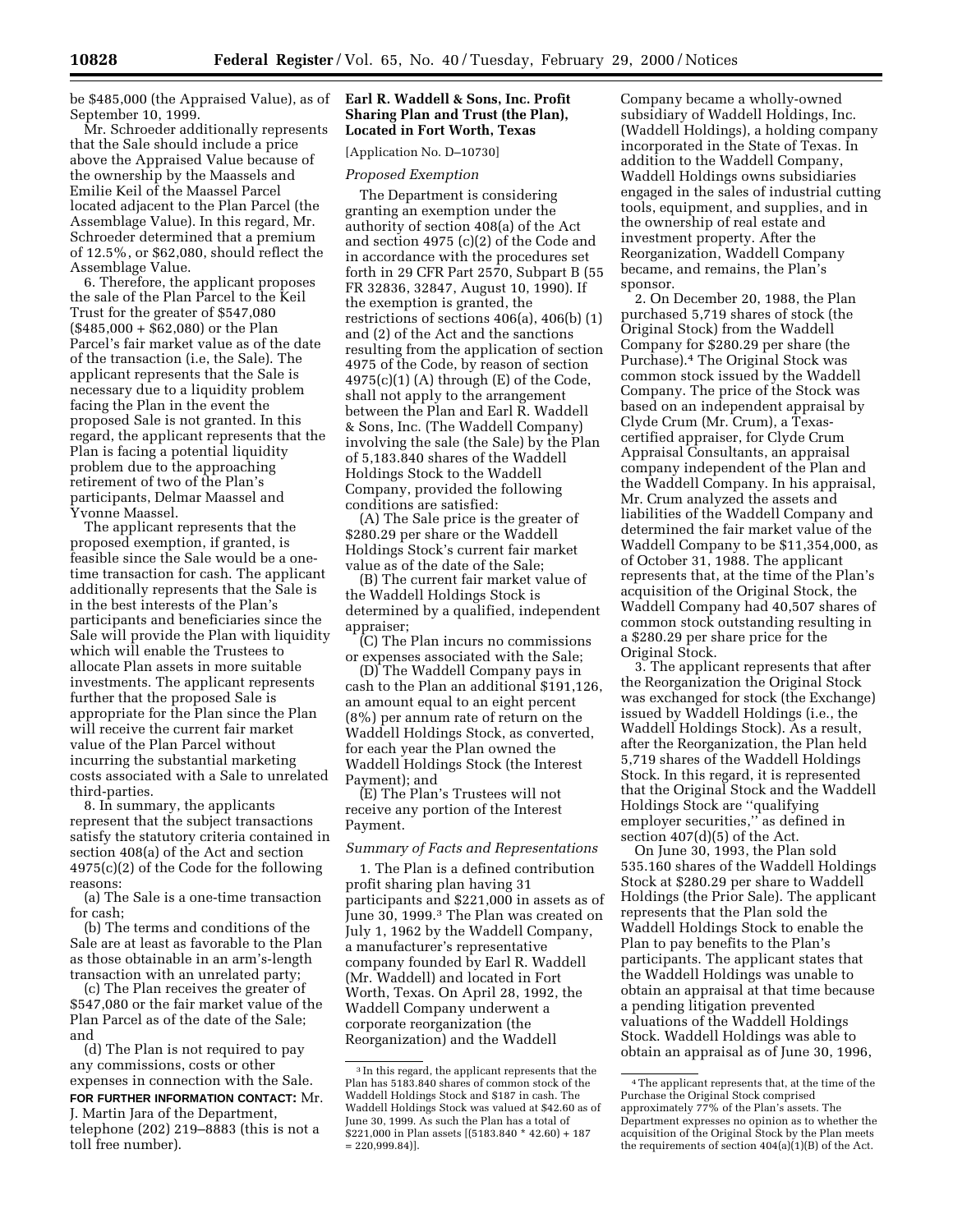be \$485,000 (the Appraised Value), as of September 10, 1999.

Mr. Schroeder additionally represents that the Sale should include a price above the Appraised Value because of the ownership by the Maassels and Emilie Keil of the Maassel Parcel located adjacent to the Plan Parcel (the Assemblage Value). In this regard, Mr. Schroeder determined that a premium of 12.5%, or \$62,080, should reflect the Assemblage Value.

6. Therefore, the applicant proposes the sale of the Plan Parcel to the Keil Trust for the greater of \$547,080  $($485,000 + $62,080)$  or the Plan Parcel's fair market value as of the date of the transaction (i.e, the Sale). The applicant represents that the Sale is necessary due to a liquidity problem facing the Plan in the event the proposed Sale is not granted. In this regard, the applicant represents that the Plan is facing a potential liquidity problem due to the approaching retirement of two of the Plan's participants, Delmar Maassel and Yvonne Maassel.

The applicant represents that the proposed exemption, if granted, is feasible since the Sale would be a onetime transaction for cash. The applicant additionally represents that the Sale is in the best interests of the Plan's participants and beneficiaries since the Sale will provide the Plan with liquidity which will enable the Trustees to allocate Plan assets in more suitable investments. The applicant represents further that the proposed Sale is appropriate for the Plan since the Plan will receive the current fair market value of the Plan Parcel without incurring the substantial marketing costs associated with a Sale to unrelated third-parties.

8. In summary, the applicants represent that the subject transactions satisfy the statutory criteria contained in section 408(a) of the Act and section 4975(c)(2) of the Code for the following reasons:

(a) The Sale is a one-time transaction for cash;

(b) The terms and conditions of the Sale are at least as favorable to the Plan as those obtainable in an arm's-length transaction with an unrelated party;

(c) The Plan receives the greater of \$547,080 or the fair market value of the Plan Parcel as of the date of the Sale; and

(d) The Plan is not required to pay any commissions, costs or other expenses in connection with the Sale.

**FOR FURTHER INFORMATION CONTACT:** Mr. J. Martin Jara of the Department,

## **Earl R. Waddell & Sons, Inc. Profit Sharing Plan and Trust (the Plan), Located in Fort Worth, Texas**

[Application No. D–10730]

#### *Proposed Exemption*

The Department is considering granting an exemption under the authority of section 408(a) of the Act and section 4975 (c)(2) of the Code and in accordance with the procedures set forth in 29 CFR Part 2570, Subpart B (55 FR 32836, 32847, August 10, 1990). If the exemption is granted, the restrictions of sections 406(a), 406(b) (1) and (2) of the Act and the sanctions resulting from the application of section 4975 of the Code, by reason of section  $4975(c)(1)$  (A) through (E) of the Code, shall not apply to the arrangement between the Plan and Earl R. Waddell & Sons, Inc. (The Waddell Company) involving the sale (the Sale) by the Plan of 5,183.840 shares of the Waddell Holdings Stock to the Waddell Company, provided the following conditions are satisfied:

(A) The Sale price is the greater of \$280.29 per share or the Waddell Holdings Stock's current fair market value as of the date of the Sale;

(B) The current fair market value of the Waddell Holdings Stock is determined by a qualified, independent appraiser;

(C) The Plan incurs no commissions or expenses associated with the Sale;

(D) The Waddell Company pays in cash to the Plan an additional \$191,126, an amount equal to an eight percent (8%) per annum rate of return on the Waddell Holdings Stock, as converted, for each year the Plan owned the Waddell Holdings Stock (the Interest Payment); and

(E) The Plan's Trustees will not receive any portion of the Interest Payment.

#### *Summary of Facts and Representations*

1. The Plan is a defined contribution profit sharing plan having 31 participants and \$221,000 in assets as of June 30, 1999.<sup>3</sup> The Plan was created on July 1, 1962 by the Waddell Company, a manufacturer's representative company founded by Earl R. Waddell (Mr. Waddell) and located in Fort Worth, Texas. On April 28, 1992, the Waddell Company underwent a corporate reorganization (the Reorganization) and the Waddell

Company became a wholly-owned subsidiary of Waddell Holdings, Inc. (Waddell Holdings), a holding company incorporated in the State of Texas. In addition to the Waddell Company, Waddell Holdings owns subsidiaries engaged in the sales of industrial cutting tools, equipment, and supplies, and in the ownership of real estate and investment property. After the Reorganization, Waddell Company became, and remains, the Plan's sponsor.

2. On December 20, 1988, the Plan purchased 5,719 shares of stock (the Original Stock) from the Waddell Company for \$280.29 per share (the Purchase).4 The Original Stock was common stock issued by the Waddell Company. The price of the Stock was based on an independent appraisal by Clyde Crum (Mr. Crum), a Texascertified appraiser, for Clyde Crum Appraisal Consultants, an appraisal company independent of the Plan and the Waddell Company. In his appraisal, Mr. Crum analyzed the assets and liabilities of the Waddell Company and determined the fair market value of the Waddell Company to be \$11,354,000, as of October 31, 1988. The applicant represents that, at the time of the Plan's acquisition of the Original Stock, the Waddell Company had 40,507 shares of common stock outstanding resulting in a \$280.29 per share price for the Original Stock.

3. The applicant represents that after the Reorganization the Original Stock was exchanged for stock (the Exchange) issued by Waddell Holdings (i.e., the Waddell Holdings Stock). As a result, after the Reorganization, the Plan held 5,719 shares of the Waddell Holdings Stock. In this regard, it is represented that the Original Stock and the Waddell Holdings Stock are ''qualifying employer securities,'' as defined in section 407(d)(5) of the Act.

On June 30, 1993, the Plan sold 535.160 shares of the Waddell Holdings Stock at \$280.29 per share to Waddell Holdings (the Prior Sale). The applicant represents that the Plan sold the Waddell Holdings Stock to enable the Plan to pay benefits to the Plan's participants. The applicant states that the Waddell Holdings was unable to obtain an appraisal at that time because a pending litigation prevented valuations of the Waddell Holdings Stock. Waddell Holdings was able to obtain an appraisal as of June 30, 1996,

telephone (202) 219–8883 (this is not a toll free number).

<sup>3</sup> In this regard, the applicant represents that the Plan has 5183.840 shares of common stock of the Waddell Holdings Stock and \$187 in cash. The Waddell Holdings Stock was valued at \$42.60 as of June 30, 1999. As such the Plan has a total of \$221,000 in Plan assets [(5183.840 \* 42.60) + 187  $= 220.999.84$ ].

<sup>4</sup>The applicant represents that, at the time of the Purchase the Original Stock comprised approximately 77% of the Plan's assets. The Department expresses no opinion as to whether the acquisition of the Original Stock by the Plan meets the requirements of section  $404(a)(1)(B)$  of the Act.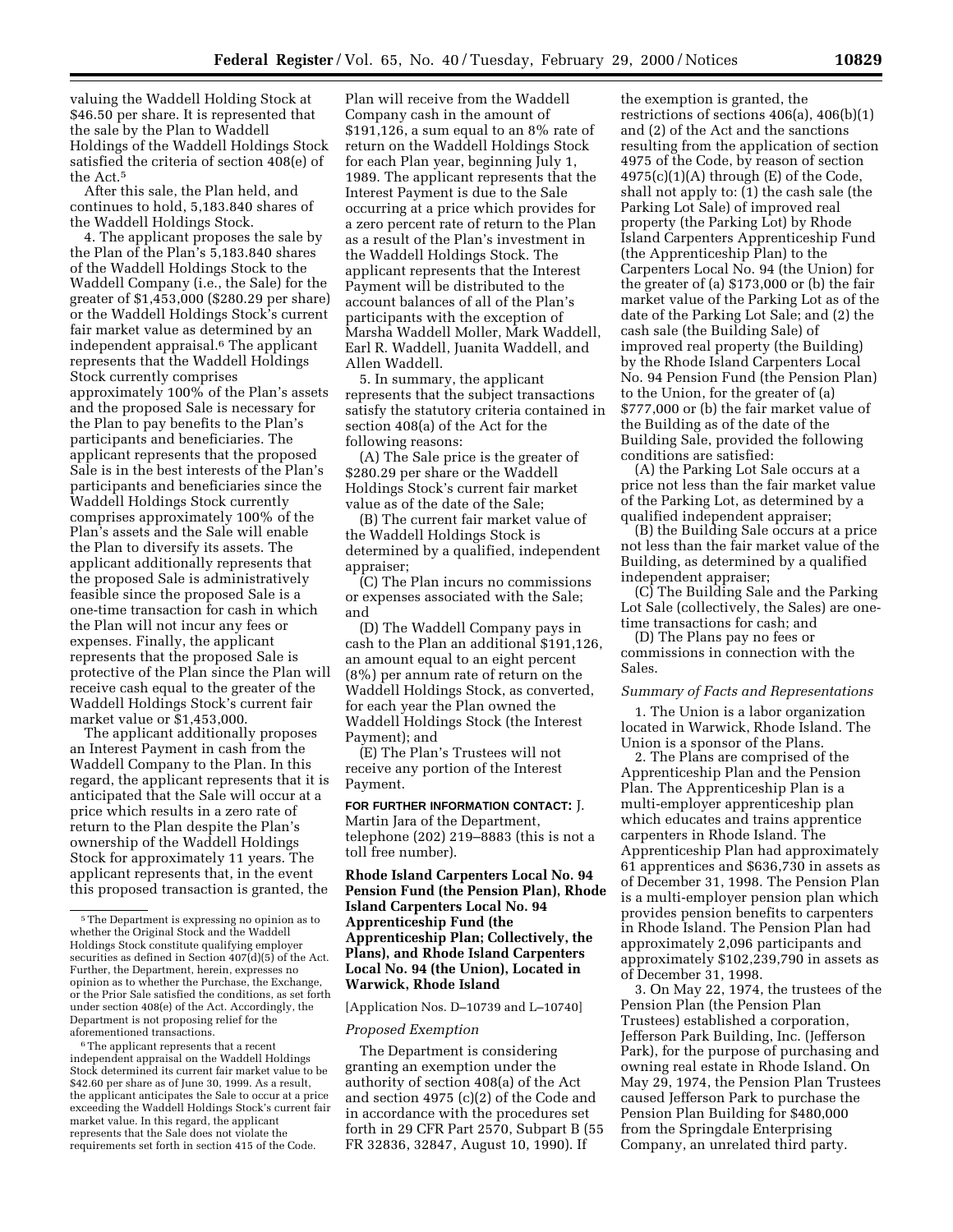valuing the Waddell Holding Stock at \$46.50 per share. It is represented that the sale by the Plan to Waddell Holdings of the Waddell Holdings Stock satisfied the criteria of section 408(e) of the Act.5

After this sale, the Plan held, and continues to hold, 5,183.840 shares of the Waddell Holdings Stock.

4. The applicant proposes the sale by the Plan of the Plan's 5,183.840 shares of the Waddell Holdings Stock to the Waddell Company (i.e., the Sale) for the greater of \$1,453,000 (\$280.29 per share) or the Waddell Holdings Stock's current fair market value as determined by an independent appraisal.6 The applicant represents that the Waddell Holdings Stock currently comprises approximately 100% of the Plan's assets and the proposed Sale is necessary for the Plan to pay benefits to the Plan's participants and beneficiaries. The applicant represents that the proposed Sale is in the best interests of the Plan's participants and beneficiaries since the Waddell Holdings Stock currently comprises approximately 100% of the Plan's assets and the Sale will enable the Plan to diversify its assets. The applicant additionally represents that the proposed Sale is administratively feasible since the proposed Sale is a one-time transaction for cash in which the Plan will not incur any fees or expenses. Finally, the applicant represents that the proposed Sale is protective of the Plan since the Plan will receive cash equal to the greater of the Waddell Holdings Stock's current fair market value or \$1,453,000.

The applicant additionally proposes an Interest Payment in cash from the Waddell Company to the Plan. In this regard, the applicant represents that it is anticipated that the Sale will occur at a price which results in a zero rate of return to the Plan despite the Plan's ownership of the Waddell Holdings Stock for approximately 11 years. The applicant represents that, in the event this proposed transaction is granted, the

6The applicant represents that a recent independent appraisal on the Waddell Holdings Stock determined its current fair market value to be \$42.60 per share as of June 30, 1999. As a result, the applicant anticipates the Sale to occur at a price exceeding the Waddell Holdings Stock's current fair market value. In this regard, the applicant represents that the Sale does not violate the requirements set forth in section 415 of the Code.

Plan will receive from the Waddell Company cash in the amount of \$191,126, a sum equal to an  $8\%$  rate of return on the Waddell Holdings Stock for each Plan year, beginning July 1, 1989. The applicant represents that the Interest Payment is due to the Sale occurring at a price which provides for a zero percent rate of return to the Plan as a result of the Plan's investment in the Waddell Holdings Stock. The applicant represents that the Interest Payment will be distributed to the account balances of all of the Plan's participants with the exception of Marsha Waddell Moller, Mark Waddell, Earl R. Waddell, Juanita Waddell, and Allen Waddell.

5. In summary, the applicant represents that the subject transactions satisfy the statutory criteria contained in section 408(a) of the Act for the following reasons:

(A) The Sale price is the greater of \$280.29 per share or the Waddell Holdings Stock's current fair market value as of the date of the Sale;

(B) The current fair market value of the Waddell Holdings Stock is determined by a qualified, independent appraiser;

(C) The Plan incurs no commissions or expenses associated with the Sale; and

(D) The Waddell Company pays in cash to the Plan an additional \$191,126, an amount equal to an eight percent (8%) per annum rate of return on the Waddell Holdings Stock, as converted, for each year the Plan owned the Waddell Holdings Stock (the Interest Payment); and

(E) The Plan's Trustees will not receive any portion of the Interest Payment.

**FOR FURTHER INFORMATION CONTACT:** J. Martin Jara of the Department, telephone (202) 219–8883 (this is not a toll free number).

**Rhode Island Carpenters Local No. 94 Pension Fund (the Pension Plan), Rhode Island Carpenters Local No. 94 Apprenticeship Fund (the Apprenticeship Plan; Collectively, the Plans), and Rhode Island Carpenters Local No. 94 (the Union), Located in Warwick, Rhode Island**

[Application Nos. D–10739 and L–10740]

#### *Proposed Exemption*

The Department is considering granting an exemption under the authority of section 408(a) of the Act and section 4975 (c)(2) of the Code and in accordance with the procedures set forth in 29 CFR Part 2570, Subpart B (55 FR 32836, 32847, August 10, 1990). If

the exemption is granted, the restrictions of sections 406(a), 406(b)(1) and (2) of the Act and the sanctions resulting from the application of section 4975 of the Code, by reason of section  $4975(c)(1)(A)$  through  $(E)$  of the Code, shall not apply to: (1) the cash sale (the Parking Lot Sale) of improved real property (the Parking Lot) by Rhode Island Carpenters Apprenticeship Fund (the Apprenticeship Plan) to the Carpenters Local No. 94 (the Union) for the greater of (a) \$173,000 or (b) the fair market value of the Parking Lot as of the date of the Parking Lot Sale; and (2) the cash sale (the Building Sale) of improved real property (the Building) by the Rhode Island Carpenters Local No. 94 Pension Fund (the Pension Plan) to the Union, for the greater of (a) \$777,000 or (b) the fair market value of the Building as of the date of the Building Sale, provided the following conditions are satisfied:

(A) the Parking Lot Sale occurs at a price not less than the fair market value of the Parking Lot, as determined by a qualified independent appraiser;

(B) the Building Sale occurs at a price not less than the fair market value of the Building, as determined by a qualified independent appraiser;

(C) The Building Sale and the Parking Lot Sale (collectively, the Sales) are onetime transactions for cash; and

(D) The Plans pay no fees or commissions in connection with the Sales.

#### *Summary of Facts and Representations*

1. The Union is a labor organization located in Warwick, Rhode Island. The Union is a sponsor of the Plans.

2. The Plans are comprised of the Apprenticeship Plan and the Pension Plan. The Apprenticeship Plan is a multi-employer apprenticeship plan which educates and trains apprentice carpenters in Rhode Island. The Apprenticeship Plan had approximately 61 apprentices and \$636,730 in assets as of December 31, 1998. The Pension Plan is a multi-employer pension plan which provides pension benefits to carpenters in Rhode Island. The Pension Plan had approximately 2,096 participants and approximately \$102,239,790 in assets as of December 31, 1998.

3. On May 22, 1974, the trustees of the Pension Plan (the Pension Plan Trustees) established a corporation, Jefferson Park Building, Inc. (Jefferson Park), for the purpose of purchasing and owning real estate in Rhode Island. On May 29, 1974, the Pension Plan Trustees caused Jefferson Park to purchase the Pension Plan Building for \$480,000 from the Springdale Enterprising Company, an unrelated third party.

<sup>5</sup>The Department is expressing no opinion as to whether the Original Stock and the Waddell Holdings Stock constitute qualifying employer securities as defined in Section  $407\dot{d}$ (d)(5) of the Act. Further, the Department, herein, expresses no opinion as to whether the Purchase, the Exchange, or the Prior Sale satisfied the conditions, as set forth under section 408(e) of the Act. Accordingly, the Department is not proposing relief for the aforementioned transactions.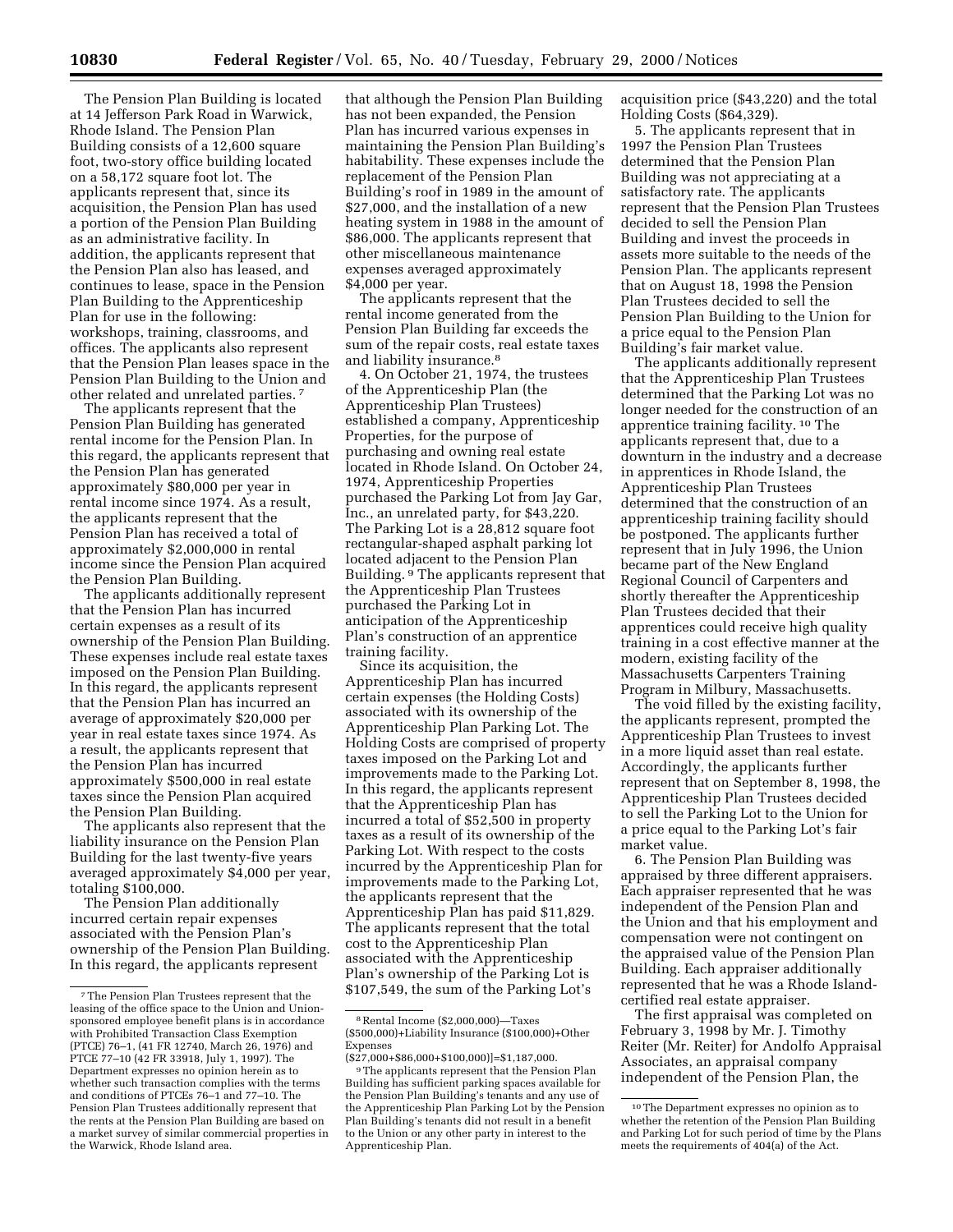The Pension Plan Building is located at 14 Jefferson Park Road in Warwick, Rhode Island. The Pension Plan Building consists of a 12,600 square foot, two-story office building located on a 58,172 square foot lot. The applicants represent that, since its acquisition, the Pension Plan has used a portion of the Pension Plan Building as an administrative facility. In addition, the applicants represent that the Pension Plan also has leased, and continues to lease, space in the Pension Plan Building to the Apprenticeship Plan for use in the following: workshops, training, classrooms, and offices. The applicants also represent that the Pension Plan leases space in the Pension Plan Building to the Union and other related and unrelated parties. 7

The applicants represent that the Pension Plan Building has generated rental income for the Pension Plan. In this regard, the applicants represent that the Pension Plan has generated approximately \$80,000 per year in rental income since 1974. As a result, the applicants represent that the Pension Plan has received a total of approximately \$2,000,000 in rental income since the Pension Plan acquired the Pension Plan Building.

The applicants additionally represent that the Pension Plan has incurred certain expenses as a result of its ownership of the Pension Plan Building. These expenses include real estate taxes imposed on the Pension Plan Building. In this regard, the applicants represent that the Pension Plan has incurred an average of approximately \$20,000 per year in real estate taxes since 1974. As a result, the applicants represent that the Pension Plan has incurred approximately \$500,000 in real estate taxes since the Pension Plan acquired the Pension Plan Building.

The applicants also represent that the liability insurance on the Pension Plan Building for the last twenty-five years averaged approximately \$4,000 per year, totaling \$100,000.

The Pension Plan additionally incurred certain repair expenses associated with the Pension Plan's ownership of the Pension Plan Building. In this regard, the applicants represent

that although the Pension Plan Building has not been expanded, the Pension Plan has incurred various expenses in maintaining the Pension Plan Building's habitability. These expenses include the replacement of the Pension Plan Building's roof in 1989 in the amount of \$27,000, and the installation of a new heating system in 1988 in the amount of \$86,000. The applicants represent that other miscellaneous maintenance expenses averaged approximately \$4,000 per year.

The applicants represent that the rental income generated from the Pension Plan Building far exceeds the sum of the repair costs, real estate taxes and liability insurance.<sup>8</sup>

4. On October 21, 1974, the trustees of the Apprenticeship Plan (the Apprenticeship Plan Trustees) established a company, Apprenticeship Properties, for the purpose of purchasing and owning real estate located in Rhode Island. On October 24, 1974, Apprenticeship Properties purchased the Parking Lot from Jay Gar, Inc., an unrelated party, for \$43,220. The Parking Lot is a 28,812 square foot rectangular-shaped asphalt parking lot located adjacent to the Pension Plan Building. 9 The applicants represent that the Apprenticeship Plan Trustees purchased the Parking Lot in anticipation of the Apprenticeship Plan's construction of an apprentice training facility.

Since its acquisition, the Apprenticeship Plan has incurred certain expenses (the Holding Costs) associated with its ownership of the Apprenticeship Plan Parking Lot. The Holding Costs are comprised of property taxes imposed on the Parking Lot and improvements made to the Parking Lot. In this regard, the applicants represent that the Apprenticeship Plan has incurred a total of \$52,500 in property taxes as a result of its ownership of the Parking Lot. With respect to the costs incurred by the Apprenticeship Plan for improvements made to the Parking Lot, the applicants represent that the Apprenticeship Plan has paid \$11,829. The applicants represent that the total cost to the Apprenticeship Plan associated with the Apprenticeship Plan's ownership of the Parking Lot is \$107,549, the sum of the Parking Lot's

acquisition price (\$43,220) and the total Holding Costs (\$64,329).

5. The applicants represent that in 1997 the Pension Plan Trustees determined that the Pension Plan Building was not appreciating at a satisfactory rate. The applicants represent that the Pension Plan Trustees decided to sell the Pension Plan Building and invest the proceeds in assets more suitable to the needs of the Pension Plan. The applicants represent that on August 18, 1998 the Pension Plan Trustees decided to sell the Pension Plan Building to the Union for a price equal to the Pension Plan Building's fair market value.

The applicants additionally represent that the Apprenticeship Plan Trustees determined that the Parking Lot was no longer needed for the construction of an apprentice training facility. 10 The applicants represent that, due to a downturn in the industry and a decrease in apprentices in Rhode Island, the Apprenticeship Plan Trustees determined that the construction of an apprenticeship training facility should be postponed. The applicants further represent that in July 1996, the Union became part of the New England Regional Council of Carpenters and shortly thereafter the Apprenticeship Plan Trustees decided that their apprentices could receive high quality training in a cost effective manner at the modern, existing facility of the Massachusetts Carpenters Training Program in Milbury, Massachusetts.

The void filled by the existing facility, the applicants represent, prompted the Apprenticeship Plan Trustees to invest in a more liquid asset than real estate. Accordingly, the applicants further represent that on September 8, 1998, the Apprenticeship Plan Trustees decided to sell the Parking Lot to the Union for a price equal to the Parking Lot's fair market value.

6. The Pension Plan Building was appraised by three different appraisers. Each appraiser represented that he was independent of the Pension Plan and the Union and that his employment and compensation were not contingent on the appraised value of the Pension Plan Building. Each appraiser additionally represented that he was a Rhode Islandcertified real estate appraiser.

The first appraisal was completed on February 3, 1998 by Mr. J. Timothy Reiter (Mr. Reiter) for Andolfo Appraisal Associates, an appraisal company independent of the Pension Plan, the

<sup>7</sup>The Pension Plan Trustees represent that the leasing of the office space to the Union and Unionsponsored employee benefit plans is in accordance with Prohibited Transaction Class Exemption (PTCE) 76–1, (41 FR 12740, March 26, 1976) and PTCE 77–10 (42 FR 33918, July 1, 1997). The Department expresses no opinion herein as to whether such transaction complies with the terms and conditions of PTCEs 76–1 and 77–10. The Pension Plan Trustees additionally represent that the rents at the Pension Plan Building are based on a market survey of similar commercial properties in the Warwick, Rhode Island area.

<sup>8</sup>Rental Income (\$2,000,000)—Taxes (\$500,000)+Liability Insurance (\$100,000)+Other Expenses

<sup>(\$27,000+\$86,000+\$100,000)]=\$1,187,000.</sup> 9The applicants represent that the Pension Plan Building has sufficient parking spaces available for the Pension Plan Building's tenants and any use of the Apprenticeship Plan Parking Lot by the Pension Plan Building's tenants did not result in a benefit to the Union or any other party in interest to the Apprenticeship Plan.

<sup>10</sup>The Department expresses no opinion as to whether the retention of the Pension Plan Building and Parking Lot for such period of time by the Plans meets the requirements of 404(a) of the Act.